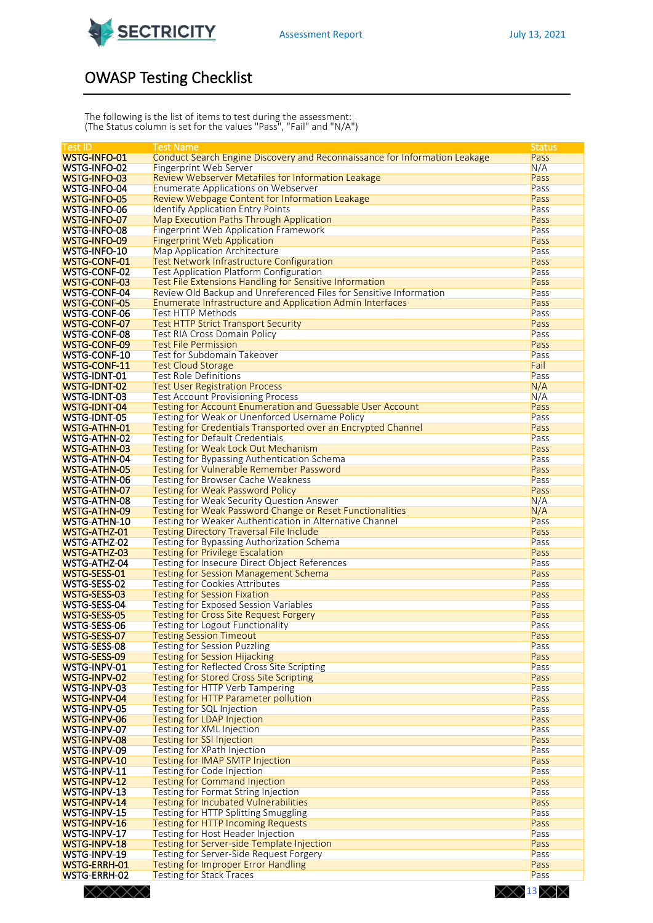

## OWASP Testing Checklist

The following is the list of items to test during the assessment: (The Status column is set for the values "Pass", "Fail" and "N/A")

| <b>Test ID</b>      | <b>Test Name</b>                                                           | <b>Status</b> |
|---------------------|----------------------------------------------------------------------------|---------------|
| <b>WSTG-INFO-01</b> | Conduct Search Engine Discovery and Reconnaissance for Information Leakage | Pass          |
|                     |                                                                            |               |
| WSTG-INFO-02        | Fingerprint Web Server                                                     | N/A           |
| WSTG-INFO-03        | Review Webserver Metafiles for Information Leakage                         | Pass          |
| <b>WSTG-INFO-04</b> | <b>Enumerate Applications on Webserver</b>                                 | Pass          |
| <b>WSTG-INFO-05</b> | Review Webpage Content for Information Leakage                             | Pass          |
| <b>WSTG-INFO-06</b> | <b>Identify Application Entry Points</b>                                   | Pass          |
|                     |                                                                            |               |
| WSTG-INFO-07        | Map Execution Paths Through Application                                    | Pass          |
| WSTG-INFO-08        | Fingerprint Web Application Framework                                      | Pass          |
| WSTG-INFO-09        | <b>Fingerprint Web Application</b>                                         | Pass          |
| <b>WSTG-INFO-10</b> | Map Application Architecture                                               | Pass          |
| <b>WSTG-CONF-01</b> | <b>Test Network Infrastructure Configuration</b>                           | Pass          |
|                     |                                                                            |               |
| <b>WSTG-CONF-02</b> | <b>Test Application Platform Configuration</b>                             | Pass          |
| <b>WSTG-CONF-03</b> | Test File Extensions Handling for Sensitive Information                    | Pass          |
| <b>WSTG-CONF-04</b> | Review Old Backup and Unreferenced Files for Sensitive Information         | Pass          |
| WSTG-CONF-05        | <b>Enumerate Infrastructure and Application Admin Interfaces</b>           | Pass          |
| <b>WSTG-CONF-06</b> | <b>Test HTTP Methods</b>                                                   | Pass          |
|                     |                                                                            |               |
| <b>WSTG-CONF-07</b> | <b>Test HTTP Strict Transport Security</b>                                 | Pass          |
| <b>WSTG-CONF-08</b> | Test RIA Cross Domain Policy                                               | Pass          |
| <b>WSTG-CONF-09</b> | <b>Test File Permission</b>                                                | Pass          |
| <b>WSTG-CONF-10</b> | <b>Test for Subdomain Takeover</b>                                         | Pass          |
| <b>WSTG-CONF-11</b> | <b>Test Cloud Storage</b>                                                  | Fail          |
|                     |                                                                            |               |
| <b>WSTG-IDNT-01</b> | <b>Test Role Definitions</b>                                               | Pass          |
| <b>WSTG-IDNT-02</b> | <b>Test User Registration Process</b>                                      | N/A           |
| <b>WSTG-IDNT-03</b> | <b>Test Account Provisioning Process</b>                                   | N/A           |
| <b>WSTG-IDNT-04</b> | <b>Testing for Account Enumeration and Guessable User Account</b>          | Pass          |
| <b>WSTG-IDNT-05</b> | Testing for Weak or Unenforced Username Policy                             | Pass          |
|                     |                                                                            | Pass          |
| <b>WSTG-ATHN-01</b> | Testing for Credentials Transported over an Encrypted Channel              |               |
| <b>WSTG-ATHN-02</b> | Testing for Default Credentials                                            | Pass          |
| <b>WSTG-ATHN-03</b> | Testing for Weak Lock Out Mechanism                                        | Pass          |
| <b>WSTG-ATHN-04</b> | Testing for Bypassing Authentication Schema                                | Pass          |
| <b>WSTG-ATHN-05</b> | Testing for Vulnerable Remember Password                                   | Pass          |
| <b>WSTG-ATHN-06</b> | Testing for Browser Cache Weakness                                         | Pass          |
|                     |                                                                            |               |
| <b>WSTG-ATHN-07</b> | <b>Testing for Weak Password Policy</b>                                    | Pass          |
| <b>WSTG-ATHN-08</b> | Testing for Weak Security Question Answer                                  | N/A           |
| <b>WSTG-ATHN-09</b> | Testing for Weak Password Change or Reset Functionalities                  | N/A           |
| WSTG-ATHN-10        | Testing for Weaker Authentication in Alternative Channel                   | Pass          |
| <b>WSTG-ATHZ-01</b> | <b>Testing Directory Traversal File Include</b>                            | Pass          |
| <b>WSTG-ATHZ-02</b> |                                                                            | Pass          |
|                     | Testing for Bypassing Authorization Schema                                 |               |
| <b>WSTG-ATHZ-03</b> | <b>Testing for Privilege Escalation</b>                                    | Pass          |
| <b>WSTG-ATHZ-04</b> | Testing for Insecure Direct Object References                              | Pass          |
| WSTG-SESS-01        | <b>Testing for Session Management Schema</b>                               | Pass          |
| WSTG-SESS-02        | <b>Testing for Cookies Attributes</b>                                      | Pass          |
| WSTG-SESS-03        | <b>Testing for Session Fixation</b>                                        | Pass          |
|                     |                                                                            |               |
| WSTG-SESS-04        | <b>Testing for Exposed Session Variables</b>                               | Pass          |
| WSTG-SESS-05        | <b>Testing for Cross Site Request Forgery</b>                              | Pass          |
| WSTG-SESS-06        | <b>Testing for Logout Functionality</b>                                    | Pass          |
| WSTG-SESS-07        | <b>Testing Session Timeout</b>                                             | Pass          |
| WSTG-SESS-08        | Testing for Session Puzzling                                               | Pass          |
| WSTG-SESS-09        | <b>Testing for Session Hijacking</b>                                       | Pass          |
|                     |                                                                            |               |
| WSTG-INPV-01        | Testing for Reflected Cross Site Scripting                                 | Pass          |
| WSTG-INPV-02        | Testing for Stored Cross Site Scripting                                    | Pass          |
| WSTG-INPV-03        | Testing for HTTP Verb Tampering                                            | Pass          |
| WSTG-INPV-04        | <b>Testing for HTTP Parameter pollution</b>                                | Pass          |
| <b>WSTG-INPV-05</b> | Testing for SQL Injection                                                  | Pass          |
| WSTG-INPV-06        | <b>Testing for LDAP Injection</b>                                          | Pass          |
|                     |                                                                            |               |
| WSTG-INPV-07        | Testing for XML Injection                                                  | Pass          |
| WSTG-INPV-08        | <b>Testing for SSI Injection</b>                                           | Pass          |
| WSTG-INPV-09        | Testing for XPath Injection                                                | Pass          |
| <b>WSTG-INPV-10</b> | Testing for IMAP SMTP Injection                                            | Pass          |
| WSTG-INPV-11        | Testing for Code Injection                                                 | Pass          |
| WSTG-INPV-12        | <b>Testing for Command Injection</b>                                       | Pass          |
|                     |                                                                            |               |
| WSTG-INPV-13        | Testing for Format String Injection                                        | Pass          |
| WSTG-INPV-14        | <b>Testing for Incubated Vulnerabilities</b>                               | Pass          |
| WSTG-INPV-15        | Testing for HTTP Splitting Smuggling                                       | Pass          |
| WSTG-INPV-16        | Testing for HTTP Incoming Requests                                         | Pass          |
| WSTG-INPV-17        | Testing for Host Header Injection                                          | Pass          |
| WSTG-INPV-18        |                                                                            |               |
|                     | Testing for Server-side Template Injection                                 | Pass          |
| WSTG-INPV-19        | Testing for Server-Side Request Forgery                                    | Pass          |
| <b>WSTG-ERRH-01</b> | <b>Testing for Improper Error Handling</b>                                 | Pass          |
| WSTG-ERRH-02        | Testing for Stack Traces                                                   | Pass          |